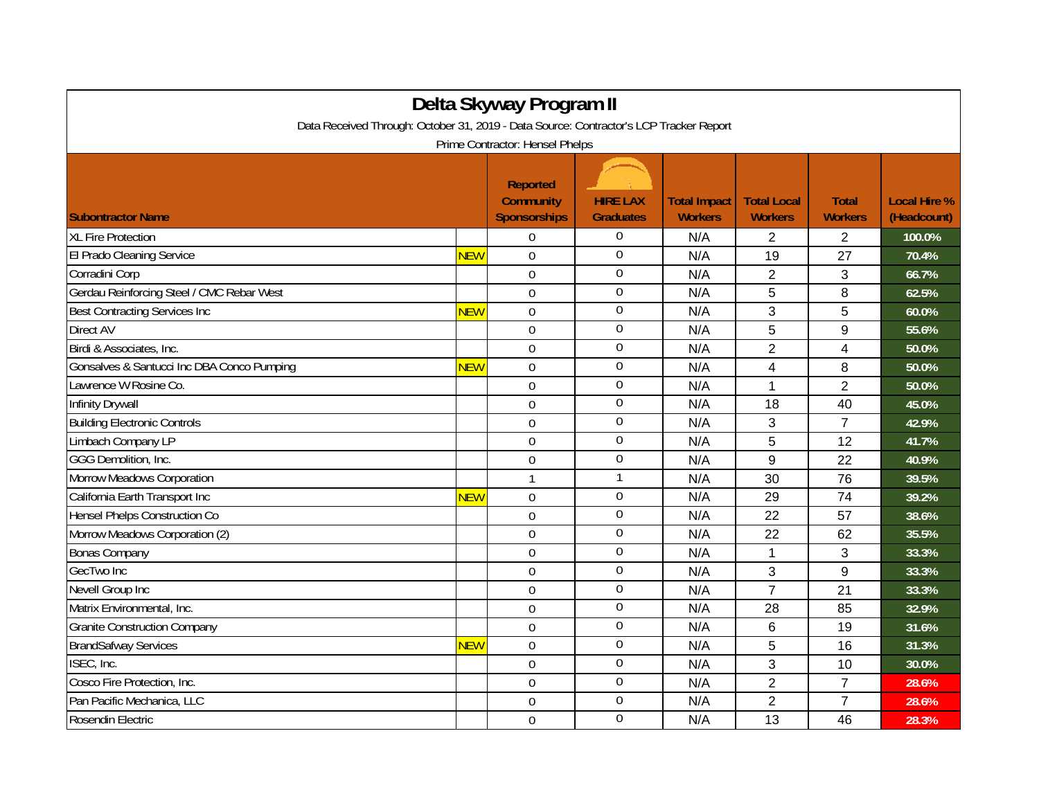| Delta Skyway Program II<br>Data Received Through: October 31, 2019 - Data Source: Contractor's LCP Tracker Report |            |                                                            |                                     |                                       |                                      |                                |                                    |  |  |
|-------------------------------------------------------------------------------------------------------------------|------------|------------------------------------------------------------|-------------------------------------|---------------------------------------|--------------------------------------|--------------------------------|------------------------------------|--|--|
| Prime Contractor: Hensel Phelps                                                                                   |            |                                                            |                                     |                                       |                                      |                                |                                    |  |  |
| <b>Subontractor Name</b>                                                                                          |            | <b>Reported</b><br><b>Community</b><br><b>Sponsorships</b> | <b>HIRE LAX</b><br><b>Graduates</b> | <b>Total Impact</b><br><b>Workers</b> | <b>Total Local</b><br><b>Workers</b> | <b>Total</b><br><b>Workers</b> | <b>Local Hire %</b><br>(Headcount) |  |  |
| <b>XL Fire Protection</b>                                                                                         |            | $\Omega$                                                   | $\boldsymbol{0}$                    | N/A                                   | 2                                    | 2                              | 100.0%                             |  |  |
| El Prado Cleaning Service                                                                                         | <b>NEW</b> | $\Omega$                                                   | $\boldsymbol{0}$                    | N/A                                   | 19                                   | 27                             | 70.4%                              |  |  |
| Corradini Corp                                                                                                    |            | $\mathbf 0$                                                | $\boldsymbol{0}$                    | N/A                                   | $\overline{2}$                       | 3                              | 66.7%                              |  |  |
| Gerdau Reinforcing Steel / CMC Rebar West                                                                         |            | $\mathbf 0$                                                | $\overline{0}$                      | N/A                                   | 5                                    | 8                              | 62.5%                              |  |  |
| <b>Best Contracting Services Inc</b>                                                                              | <b>NEW</b> | $\overline{0}$                                             | $\boldsymbol{0}$                    | N/A                                   | 3                                    | 5                              | 60.0%                              |  |  |
| Direct AV                                                                                                         |            | $\overline{0}$                                             | $\boldsymbol{0}$                    | N/A                                   | 5                                    | 9                              | 55.6%                              |  |  |
| Birdi & Associates, Inc.                                                                                          |            | $\overline{0}$                                             | $\boldsymbol{0}$                    | N/A                                   | $\overline{2}$                       | 4                              | 50.0%                              |  |  |
| Gonsalves & Santucci Inc DBA Conco Pumping                                                                        | <b>NEW</b> | $\mathbf 0$                                                | $\overline{0}$                      | N/A                                   | 4                                    | 8                              | 50.0%                              |  |  |
| Lawrence W Rosine Co.                                                                                             |            | $\mathbf 0$                                                | $\boldsymbol{0}$                    | N/A                                   | 1                                    | $\overline{2}$                 | 50.0%                              |  |  |
| <b>Infinity Drywall</b>                                                                                           |            | $\mathbf 0$                                                | $\boldsymbol{0}$                    | N/A                                   | 18                                   | 40                             | 45.0%                              |  |  |
| <b>Building Electronic Controls</b>                                                                               |            | $\overline{0}$                                             | $\overline{0}$                      | N/A                                   | 3                                    | $\overline{7}$                 | 42.9%                              |  |  |
| Limbach Company LP                                                                                                |            | 0                                                          | $\boldsymbol{0}$                    | N/A                                   | 5                                    | 12                             | 41.7%                              |  |  |
| GGG Demolition, Inc.                                                                                              |            | $\mathbf 0$                                                | $\boldsymbol{0}$                    | N/A                                   | 9                                    | 22                             | 40.9%                              |  |  |
| Morrow Meadows Corporation                                                                                        |            | $\mathbf{1}$                                               | 1                                   | N/A                                   | 30                                   | 76                             | 39.5%                              |  |  |
| California Earth Transport Inc                                                                                    | <b>NEW</b> | $\Omega$                                                   | $\mathbf 0$                         | N/A                                   | 29                                   | 74                             | 39.2%                              |  |  |
| Hensel Phelps Construction Co                                                                                     |            | $\overline{0}$                                             | $\boldsymbol{0}$                    | N/A                                   | 22                                   | 57                             | 38.6%                              |  |  |
| Morrow Meadows Corporation (2)                                                                                    |            | $\mathbf 0$                                                | $\mathbf 0$                         | N/A                                   | 22                                   | 62                             | 35.5%                              |  |  |
| <b>Bonas Company</b>                                                                                              |            | 0                                                          | $\boldsymbol{0}$                    | N/A                                   | 1                                    | 3                              | 33.3%                              |  |  |
| GecTwo Inc                                                                                                        |            | $\overline{0}$                                             | $\boldsymbol{0}$                    | N/A                                   | 3                                    | 9                              | 33.3%                              |  |  |
| Nevell Group Inc                                                                                                  |            | $\Omega$                                                   | $\overline{0}$                      | N/A                                   | $\overline{7}$                       | 21                             | 33.3%                              |  |  |
| Matrix Environmental, Inc.                                                                                        |            | $\mathbf 0$                                                | $\boldsymbol{0}$                    | N/A                                   | 28                                   | 85                             | 32.9%                              |  |  |
| <b>Granite Construction Company</b>                                                                               |            | $\mathbf 0$                                                | $\boldsymbol{0}$                    | N/A                                   | $\,6$                                | 19                             | 31.6%                              |  |  |
| <b>BrandSafway Services</b>                                                                                       | <b>NEW</b> | $\overline{0}$                                             | $\boldsymbol{0}$                    | N/A                                   | 5                                    | 16                             | 31.3%                              |  |  |
| ISEC, Inc.                                                                                                        |            | $\Omega$                                                   | $\overline{0}$                      | N/A                                   | 3                                    | 10                             | 30.0%                              |  |  |
| Cosco Fire Protection, Inc.                                                                                       |            | $\overline{0}$                                             | $\overline{0}$                      | N/A                                   | $\overline{2}$                       | $\overline{7}$                 | 28.6%                              |  |  |
| Pan Pacific Mechanica, LLC                                                                                        |            | $\mathbf 0$                                                | $\boldsymbol{0}$                    | N/A                                   | $\overline{2}$                       | $\overline{7}$                 | 28.6%                              |  |  |
| Rosendin Electric                                                                                                 |            | $\mathbf 0$                                                | $\boldsymbol{0}$                    | N/A                                   | 13                                   | 46                             | 28.3%                              |  |  |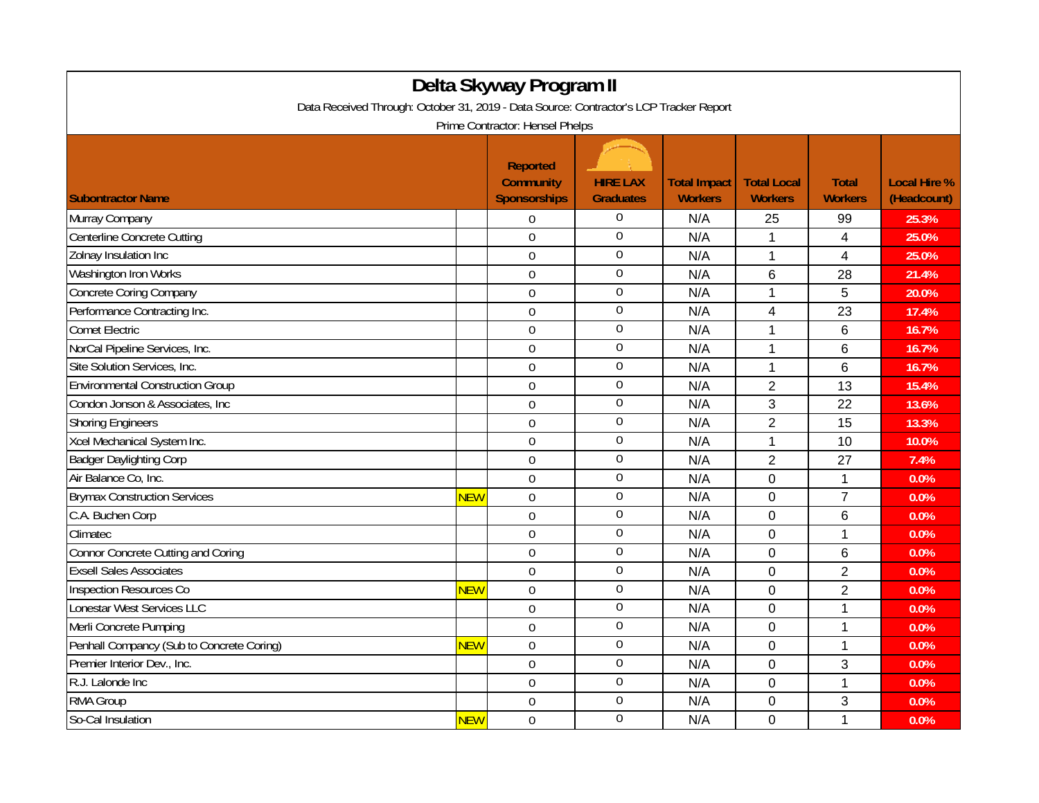| Delta Skyway Program II                                                                |            |                                                            |                                     |                                       |                                      |                                |                                    |  |
|----------------------------------------------------------------------------------------|------------|------------------------------------------------------------|-------------------------------------|---------------------------------------|--------------------------------------|--------------------------------|------------------------------------|--|
| Data Received Through: October 31, 2019 - Data Source: Contractor's LCP Tracker Report |            |                                                            |                                     |                                       |                                      |                                |                                    |  |
| Prime Contractor: Hensel Phelps                                                        |            |                                                            |                                     |                                       |                                      |                                |                                    |  |
| <b>Subontractor Name</b>                                                               |            | <b>Reported</b><br><b>Community</b><br><b>Sponsorships</b> | <b>HIRE LAX</b><br><b>Graduates</b> | <b>Total Impact</b><br><b>Workers</b> | <b>Total Local</b><br><b>Workers</b> | <b>Total</b><br><b>Workers</b> | <b>Local Hire %</b><br>(Headcount) |  |
| Murray Company                                                                         |            | $\Omega$                                                   | $\Omega$                            | N/A                                   | 25                                   | 99                             | 25.3%                              |  |
| Centerline Concrete Cutting                                                            |            | $\overline{0}$                                             | $\mathbf 0$                         | N/A                                   | $\mathbf 1$                          | 4                              | 25.0%                              |  |
| Zolnay Insulation Inc                                                                  |            | $\mathbf 0$                                                | $\mathbf 0$                         | N/A                                   | $\mathbf 1$                          | $\overline{\mathbf{4}}$        | 25.0%                              |  |
| Washington Iron Works                                                                  |            | $\overline{0}$                                             | $\boldsymbol{0}$                    | N/A                                   | 6                                    | 28                             | 21.4%                              |  |
| Concrete Coring Company                                                                |            | $\mathbf 0$                                                | $\overline{0}$                      | N/A                                   | $\mathbf 1$                          | 5                              | 20.0%                              |  |
| Performance Contracting Inc.                                                           |            | $\mathbf 0$                                                | $\boldsymbol{0}$                    | N/A                                   | 4                                    | 23                             | 17.4%                              |  |
| <b>Comet Electric</b>                                                                  |            | $\overline{0}$                                             | $\overline{0}$                      | N/A                                   | $\mathbf{1}$                         | 6                              | 16.7%                              |  |
| NorCal Pipeline Services, Inc.                                                         |            | $\overline{0}$                                             | $\overline{0}$                      | N/A                                   | $\mathbf{1}$                         | 6                              | 16.7%                              |  |
| Site Solution Services, Inc.                                                           |            | $\mathbf 0$                                                | $\overline{0}$                      | N/A                                   | $\mathbf{1}$                         | 6                              | 16.7%                              |  |
| <b>Environmental Construction Group</b>                                                |            | $\overline{0}$                                             | $\boldsymbol{0}$                    | N/A                                   | $\overline{2}$                       | 13                             | 15.4%                              |  |
| Condon Jonson & Associates, Inc.                                                       |            | $\overline{0}$                                             | $\mathbf 0$                         | N/A                                   | 3                                    | 22                             | 13.6%                              |  |
| <b>Shoring Engineers</b>                                                               |            | $\overline{0}$                                             | $\boldsymbol{0}$                    | N/A                                   | $\overline{2}$                       | 15                             | 13.3%                              |  |
| Xcel Mechanical System Inc.                                                            |            | $\overline{0}$                                             | $\boldsymbol{0}$                    | N/A                                   | $\mathbf{1}$                         | 10                             | 10.0%                              |  |
| <b>Badger Daylighting Corp</b>                                                         |            | $\boldsymbol{0}$                                           | $\boldsymbol{0}$                    | N/A                                   | $\overline{2}$                       | 27                             | 7.4%                               |  |
| Air Balance Co, Inc.                                                                   |            | $\mathbf 0$                                                | $\mathbf 0$                         | N/A                                   | $\mathbf 0$                          | $\mathbf 1$                    | 0.0%                               |  |
| <b>Brymax Construction Services</b>                                                    | <b>NEW</b> | $\mathbf 0$                                                | $\boldsymbol{0}$                    | N/A                                   | 0                                    | $\overline{7}$                 | 0.0%                               |  |
| C.A. Buchen Corp                                                                       |            | $\mathbf 0$                                                | $\overline{0}$                      | N/A                                   | $\mathbf 0$                          | 6                              | 0.0%                               |  |
| Climatec                                                                               |            | $\mathbf 0$                                                | $\boldsymbol{0}$                    | N/A                                   | $\mathbf 0$                          | 1                              | 0.0%                               |  |
| Connor Concrete Cutting and Coring                                                     |            | $\mathbf 0$                                                | $\mathbf 0$                         | N/A                                   | $\mathbf 0$                          | 6                              | 0.0%                               |  |
| <b>Exsell Sales Associates</b>                                                         |            | $\overline{0}$                                             | $\mathbf 0$                         | N/A                                   | $\mathbf 0$                          | $\overline{2}$                 | 0.0%                               |  |
| <b>Inspection Resources Co</b>                                                         | <b>NEW</b> | $\mathbf 0$                                                | $\boldsymbol{0}$                    | N/A                                   | 0                                    | $\overline{2}$                 | 0.0%                               |  |
| Lonestar West Services LLC                                                             |            | $\overline{0}$                                             | $\mathbf 0$                         | N/A                                   | $\overline{0}$                       | $\overline{1}$                 | 0.0%                               |  |
| Merli Concrete Pumping                                                                 |            | $\overline{0}$                                             | $\boldsymbol{0}$                    | N/A                                   | $\mathbf 0$                          | 1                              | 0.0%                               |  |
| Penhall Compancy (Sub to Concrete Coring)                                              | <b>NEW</b> | $\mathbf 0$                                                | $\boldsymbol{0}$                    | N/A                                   | $\mathbf 0$                          | 1                              | 0.0%                               |  |
| Premier Interior Dev., Inc.                                                            |            | $\overline{0}$                                             | $\overline{0}$                      | N/A                                   | $\mathbf 0$                          | 3                              | 0.0%                               |  |
| R.J. Lalonde Inc                                                                       |            | $\overline{0}$                                             | $\boldsymbol{0}$                    | N/A                                   | $\mathbf 0$                          | $\mathbf{1}$                   | 0.0%                               |  |
| RMA Group                                                                              |            | $\mathbf 0$                                                | $\overline{0}$                      | N/A                                   | 0                                    | 3                              | 0.0%                               |  |
| So-Cal Insulation                                                                      | <b>NEW</b> | $\mathbf 0$                                                | $\boldsymbol{0}$                    | N/A                                   | 0                                    | 1                              | 0.0%                               |  |